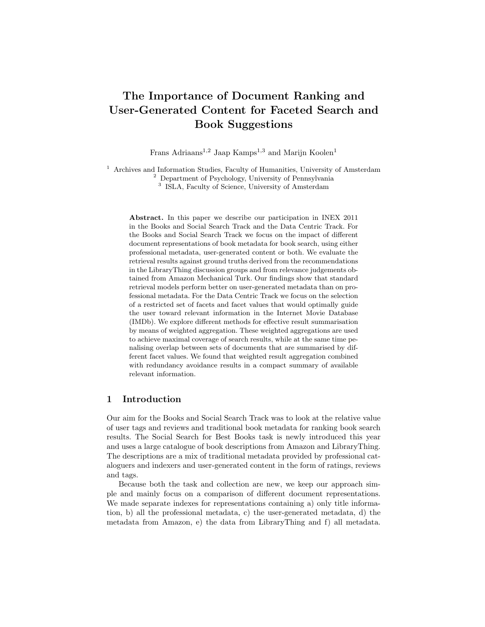# The Importance of Document Ranking and User-Generated Content for Faceted Search and Book Suggestions

Frans Adriaans<sup>1,2</sup> Jaap Kamps<sup>1,3</sup> and Marijn Koolen<sup>1</sup>

<sup>1</sup> Archives and Information Studies, Faculty of Humanities, University of Amsterdam

<sup>2</sup> Department of Psychology, University of Pennsylvania

<sup>3</sup> ISLA, Faculty of Science, University of Amsterdam

Abstract. In this paper we describe our participation in INEX 2011 in the Books and Social Search Track and the Data Centric Track. For the Books and Social Search Track we focus on the impact of different document representations of book metadata for book search, using either professional metadata, user-generated content or both. We evaluate the retrieval results against ground truths derived from the recommendations in the LibraryThing discussion groups and from relevance judgements obtained from Amazon Mechanical Turk. Our findings show that standard retrieval models perform better on user-generated metadata than on professional metadata. For the Data Centric Track we focus on the selection of a restricted set of facets and facet values that would optimally guide the user toward relevant information in the Internet Movie Database (IMDb). We explore different methods for effective result summarisation by means of weighted aggregation. These weighted aggregations are used to achieve maximal coverage of search results, while at the same time penalising overlap between sets of documents that are summarised by different facet values. We found that weighted result aggregation combined with redundancy avoidance results in a compact summary of available relevant information.

# 1 Introduction

Our aim for the Books and Social Search Track was to look at the relative value of user tags and reviews and traditional book metadata for ranking book search results. The Social Search for Best Books task is newly introduced this year and uses a large catalogue of book descriptions from Amazon and LibraryThing. The descriptions are a mix of traditional metadata provided by professional cataloguers and indexers and user-generated content in the form of ratings, reviews and tags.

Because both the task and collection are new, we keep our approach simple and mainly focus on a comparison of different document representations. We made separate indexes for representations containing a) only title information, b) all the professional metadata, c) the user-generated metadata, d) the metadata from Amazon, e) the data from LibraryThing and f) all metadata.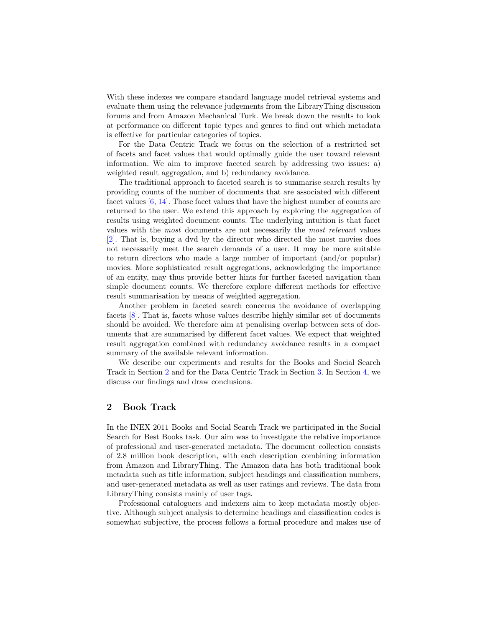With these indexes we compare standard language model retrieval systems and evaluate them using the relevance judgements from the LibraryThing discussion forums and from Amazon Mechanical Turk. We break down the results to look at performance on different topic types and genres to find out which metadata is effective for particular categories of topics.

For the Data Centric Track we focus on the selection of a restricted set of facets and facet values that would optimally guide the user toward relevant information. We aim to improve faceted search by addressing two issues: a) weighted result aggregation, and b) redundancy avoidance.

The traditional approach to faceted search is to summarise search results by providing counts of the number of documents that are associated with different facet values [\[6,](#page-14-0) [14\]](#page-14-1). Those facet values that have the highest number of counts are returned to the user. We extend this approach by exploring the aggregation of results using weighted document counts. The underlying intuition is that facet values with the most documents are not necessarily the most relevant values [\[2\]](#page-14-2). That is, buying a dvd by the director who directed the most movies does not necessarily meet the search demands of a user. It may be more suitable to return directors who made a large number of important (and/or popular) movies. More sophisticated result aggregations, acknowledging the importance of an entity, may thus provide better hints for further faceted navigation than simple document counts. We therefore explore different methods for effective result summarisation by means of weighted aggregation.

Another problem in faceted search concerns the avoidance of overlapping facets [\[8\]](#page-14-3). That is, facets whose values describe highly similar set of documents should be avoided. We therefore aim at penalising overlap between sets of documents that are summarised by different facet values. We expect that weighted result aggregation combined with redundancy avoidance results in a compact summary of the available relevant information.

We describe our experiments and results for the Books and Social Search Track in Section [2](#page-1-0) and for the Data Centric Track in Section [3.](#page-6-0) In Section [4,](#page-13-0) we discuss our findings and draw conclusions.

## <span id="page-1-0"></span>2 Book Track

In the INEX 2011 Books and Social Search Track we participated in the Social Search for Best Books task. Our aim was to investigate the relative importance of professional and user-generated metadata. The document collection consists of 2.8 million book description, with each description combining information from Amazon and LibraryThing. The Amazon data has both traditional book metadata such as title information, subject headings and classification numbers, and user-generated metadata as well as user ratings and reviews. The data from LibraryThing consists mainly of user tags.

Professional cataloguers and indexers aim to keep metadata mostly objective. Although subject analysis to determine headings and classification codes is somewhat subjective, the process follows a formal procedure and makes use of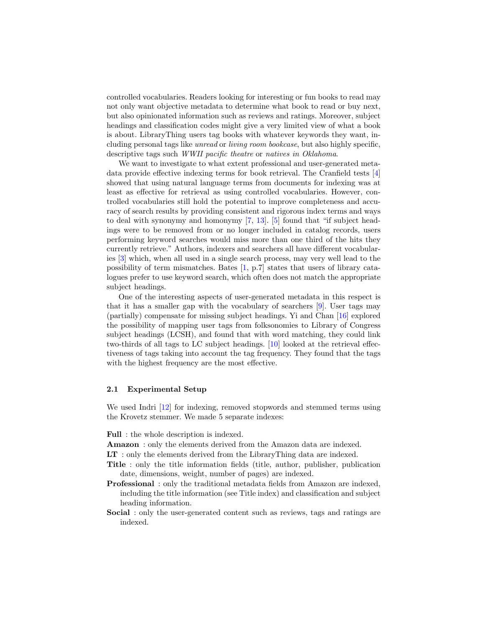controlled vocabularies. Readers looking for interesting or fun books to read may not only want objective metadata to determine what book to read or buy next, but also opinionated information such as reviews and ratings. Moreover, subject headings and classification codes might give a very limited view of what a book is about. LibraryThing users tag books with whatever keywords they want, including personal tags like unread or living room bookcase, but also highly specific, descriptive tags such WWII pacific theatre or natives in Oklahoma.

We want to investigate to what extent professional and user-generated metadata provide effective indexing terms for book retrieval. The Cranfield tests [\[4\]](#page-14-4) showed that using natural language terms from documents for indexing was at least as effective for retrieval as using controlled vocabularies. However, controlled vocabularies still hold the potential to improve completeness and accuracy of search results by providing consistent and rigorous index terms and ways to deal with synonymy and homonymy [\[7,](#page-14-5) [13\]](#page-14-6). [\[5\]](#page-14-7) found that "if subject headings were to be removed from or no longer included in catalog records, users performing keyword searches would miss more than one third of the hits they currently retrieve." Authors, indexers and searchers all have different vocabularies [\[3\]](#page-14-8) which, when all used in a single search process, may very well lead to the possibility of term mismatches. Bates  $[1, p.7]$  $[1, p.7]$  states that users of library catalogues prefer to use keyword search, which often does not match the appropriate subject headings.

One of the interesting aspects of user-generated metadata in this respect is that it has a smaller gap with the vocabulary of searchers [\[9\]](#page-14-9). User tags may (partially) compensate for missing subject headings. Yi and Chan [\[16\]](#page-14-10) explored the possibility of mapping user tags from folksonomies to Library of Congress subject headings (LCSH), and found that with word matching, they could link two-thirds of all tags to LC subject headings. [\[10\]](#page-14-11) looked at the retrieval effectiveness of tags taking into account the tag frequency. They found that the tags with the highest frequency are the most effective.

## 2.1 Experimental Setup

We used Indri [\[12\]](#page-14-12) for indexing, removed stopwords and stemmed terms using the Krovetz stemmer. We made 5 separate indexes:

Full : the whole description is indexed.

Amazon: only the elements derived from the Amazon data are indexed.

LT : only the elements derived from the LibraryThing data are indexed.

- Title : only the title information fields (title, author, publisher, publication date, dimensions, weight, number of pages) are indexed.
- Professional : only the traditional metadata fields from Amazon are indexed, including the title information (see Title index) and classification and subject heading information.
- Social: only the user-generated content such as reviews, tags and ratings are indexed.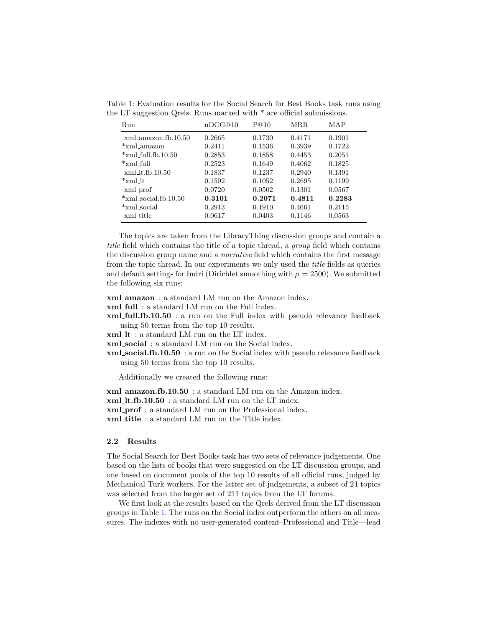<span id="page-3-0"></span>Table 1: Evaluation results for the Social Search for Best Books task runs using the LT suggestion Qrels. Runs marked with \* are official submissions.

| Run                     | nDCG@10 | P@10   | MRR    | MAP    |
|-------------------------|---------|--------|--------|--------|
| xml_amazon.fb.10.50     | 0.2665  | 0.1730 | 0.4171 | 0.1901 |
| $*$ xml_amazon          | 0.2411  | 0.1536 | 0.3939 | 0.1722 |
| $*$ xml_full.fb.10.50   | 0.2853  | 0.1858 | 0.4453 | 0.2051 |
| $*$ xml_full            | 0.2523  | 0.1649 | 0.4062 | 0.1825 |
| $xml_l.t.fb.10.50$      | 0.1837  | 0.1237 | 0.2940 | 0.1391 |
| $*$ xml lt              | 0.1592  | 0.1052 | 0.2695 | 0.1199 |
| xml_prof                | 0.0720  | 0.0502 | 0.1301 | 0.0567 |
| $*$ xml social.fb.10.50 | 0.3101  | 0.2071 | 0.4811 | 0.2283 |
| *xml_social             | 0.2913  | 0.1910 | 0.4661 | 0.2115 |
| xml_title               | 0.0617  | 0.0403 | 0.1146 | 0.0563 |

The topics are taken from the LibraryThing discussion groups and contain a title field which contains the title of a topic thread, a group field which contains the discussion group name and a narrative field which contains the first message from the topic thread. In our experiments we only used the title fields as queries and default settings for Indri (Dirichlet smoothing with  $\mu = 2500$ ). We submitted the following six runs:

xml amazon : a standard LM run on the Amazon index.

xml full : a standard LM run on the Full index.

xml full.fb.10.50 : a run on the Full index with pseudo relevance feedback using 50 terms from the top 10 results.

xml lt : a standard LM run on the LT index.

xml social : a standard LM run on the Social index.

xml social.fb.10.50 : a run on the Social index with pseudo relevance feedback using 50 terms from the top 10 results.

Additionally we created the following runs:

xml amazon.fb.10.50 : a standard LM run on the Amazon index. xml lt.fb.10.50 : a standard LM run on the LT index. xml prof : a standard LM run on the Professional index. xml title : a standard LM run on the Title index.

## 2.2 Results

The Social Search for Best Books task has two sets of relevance judgements. One based on the lists of books that were suggested on the LT discussion groups, and one based on document pools of the top 10 results of all official runs, judged by Mechanical Turk workers. For the latter set of judgements, a subset of 24 topics was selected from the larger set of 211 topics from the LT forums.

We first look at the results based on the Qrels derived from the LT discussion groups in Table [1.](#page-3-0) The runs on the Social index outperform the others on all measures. The indexes with no user-generated content–Professional and Title—lead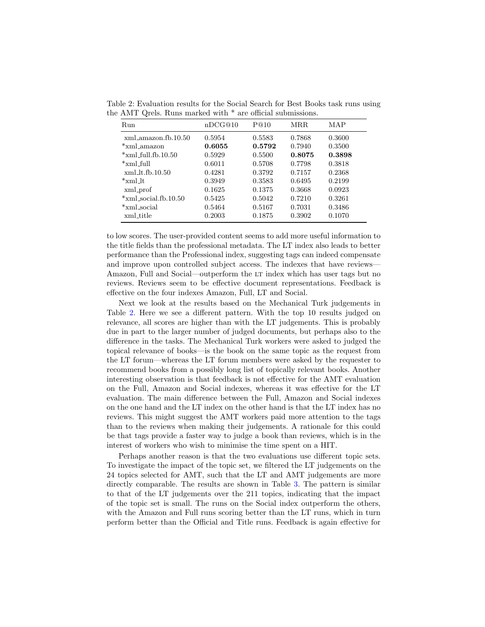| Run                     | nDCG@10 | P@10   | MRR    | MAP    |
|-------------------------|---------|--------|--------|--------|
| $xml$ _amazon.fb.10.50  | 0.5954  | 0.5583 | 0.7868 | 0.3600 |
| *xml_amazon             | 0.6055  | 0.5792 | 0.7940 | 0.3500 |
| $*$ xml_full.fb.10.50   | 0.5929  | 0.5500 | 0.8075 | 0.3898 |
| $*$ xml_full            | 0.6011  | 0.5708 | 0.7798 | 0.3818 |
| $xml_l.t.fb.10.50$      | 0.4281  | 0.3792 | 0.7157 | 0.2368 |
| $*$ xml_lt              | 0.3949  | 0.3583 | 0.6495 | 0.2199 |
| xml_prof                | 0.1625  | 0.1375 | 0.3668 | 0.0923 |
| $*$ xml_social.fb.10.50 | 0.5425  | 0.5042 | 0.7210 | 0.3261 |
| *xml_social             | 0.5464  | 0.5167 | 0.7031 | 0.3486 |
| xml_title               | 0.2003  | 0.1875 | 0.3902 | 0.1070 |

<span id="page-4-0"></span>Table 2: Evaluation results for the Social Search for Best Books task runs using the AMT Qrels. Runs marked with \* are official submissions.

to low scores. The user-provided content seems to add more useful information to the title fields than the professional metadata. The LT index also leads to better performance than the Professional index, suggesting tags can indeed compensate and improve upon controlled subject access. The indexes that have reviews— Amazon, Full and Social—outperform the LT index which has user tags but no reviews. Reviews seem to be effective document representations. Feedback is effective on the four indexes Amazon, Full, LT and Social.

Next we look at the results based on the Mechanical Turk judgements in Table [2.](#page-4-0) Here we see a different pattern. With the top 10 results judged on relevance, all scores are higher than with the LT judgements. This is probably due in part to the larger number of judged documents, but perhaps also to the difference in the tasks. The Mechanical Turk workers were asked to judged the topical relevance of books—is the book on the same topic as the request from the LT forum—whereas the LT forum members were asked by the requester to recommend books from a possibly long list of topically relevant books. Another interesting observation is that feedback is not effective for the AMT evaluation on the Full, Amazon and Social indexes, whereas it was effective for the LT evaluation. The main difference between the Full, Amazon and Social indexes on the one hand and the LT index on the other hand is that the LT index has no reviews. This might suggest the AMT workers paid more attention to the tags than to the reviews when making their judgements. A rationale for this could be that tags provide a faster way to judge a book than reviews, which is in the interest of workers who wish to minimise the time spent on a HIT.

Perhaps another reason is that the two evaluations use different topic sets. To investigate the impact of the topic set, we filtered the LT judgements on the 24 topics selected for AMT, such that the LT and AMT judgements are more directly comparable. The results are shown in Table [3.](#page-5-0) The pattern is similar to that of the LT judgements over the 211 topics, indicating that the impact of the topic set is small. The runs on the Social index outperform the others, with the Amazon and Full runs scoring better than the LT runs, which in turn perform better than the Official and Title runs. Feedback is again effective for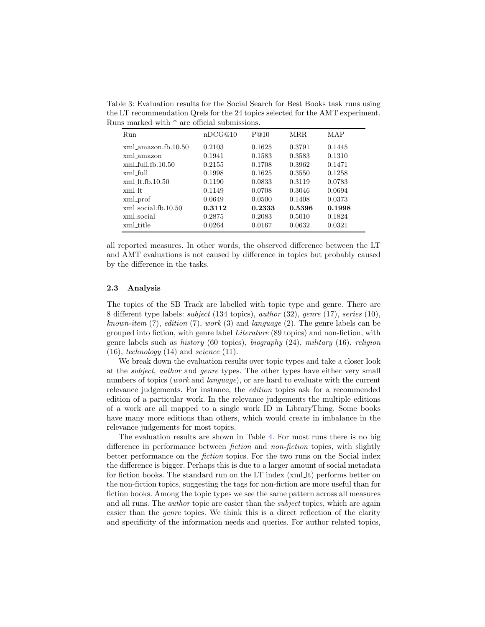<span id="page-5-0"></span>Table 3: Evaluation results for the Social Search for Best Books task runs using the LT recommendation Qrels for the 24 topics selected for the AMT experiment. Runs marked with \* are official submissions.

| Run                               | nDCG@10 | P@10   | <b>MRR</b> | MAP    |
|-----------------------------------|---------|--------|------------|--------|
| $xml$ <sub>amazon.fb</sub> .10.50 | 0.2103  | 0.1625 | 0.3791     | 0.1445 |
| xml_amazon                        | 0.1941  | 0.1583 | 0.3583     | 0.1310 |
| $xml$ -full.fb.10.50              | 0.2155  | 0.1708 | 0.3962     | 0.1471 |
| xml_full                          | 0.1998  | 0.1625 | 0.3550     | 0.1258 |
| $xml_l.t.fb.10.50$                | 0.1190  | 0.0833 | 0.3119     | 0.0783 |
| xml_lt                            | 0.1149  | 0.0708 | 0.3046     | 0.0694 |
| xml_prof                          | 0.0649  | 0.0500 | 0.1408     | 0.0373 |
| xml social.fb.10.50               | 0.3112  | 0.2333 | 0.5396     | 0.1998 |
| xml social                        | 0.2875  | 0.2083 | 0.5010     | 0.1824 |
| xml_title                         | 0.0264  | 0.0167 | 0.0632     | 0.0321 |

all reported measures. In other words, the observed difference between the LT and AMT evaluations is not caused by difference in topics but probably caused by the difference in the tasks.

# 2.3 Analysis

The topics of the SB Track are labelled with topic type and genre. There are 8 different type labels: subject (134 topics), author (32), genre (17), series (10), known-item  $(7)$ , edition  $(7)$ , work  $(3)$  and language  $(2)$ . The genre labels can be grouped into fiction, with genre label Literature (89 topics) and non-fiction, with genre labels such as *history* (60 topics), *biography*  $(24)$ , *military*  $(16)$ , *religion*  $(16)$ , technology  $(14)$  and science  $(11)$ .

We break down the evaluation results over topic types and take a closer look at the subject, author and genre types. The other types have either very small numbers of topics (*work* and *language*), or are hard to evaluate with the current relevance judgements. For instance, the edition topics ask for a recommended edition of a particular work. In the relevance judgements the multiple editions of a work are all mapped to a single work ID in LibraryThing. Some books have many more editions than others, which would create in imbalance in the relevance judgements for most topics.

The evaluation results are shown in Table [4.](#page-6-1) For most runs there is no big difference in performance between fiction and non-fiction topics, with slightly better performance on the fiction topics. For the two runs on the Social index the difference is bigger. Perhaps this is due to a larger amount of social metadata for fiction books. The standard run on the LT index (xml lt) performs better on the non-fiction topics, suggesting the tags for non-fiction are more useful than for fiction books. Among the topic types we see the same pattern across all measures and all runs. The *author* topic are easier than the *subject* topics, which are again easier than the *genre* topics. We think this is a direct reflection of the clarity and specificity of the information needs and queries. For author related topics,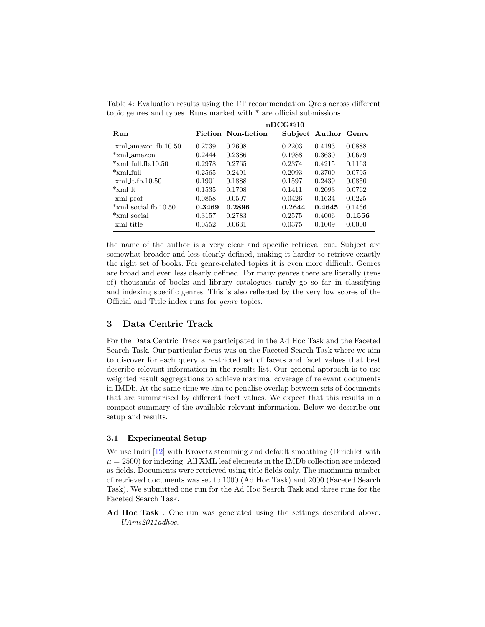<span id="page-6-1"></span>Table 4: Evaluation results using the LT recommendation Qrels across different topic genres and types. Runs marked with \* are official submissions.

|                                   |        | nDCG@10             |        |                      |        |  |  |
|-----------------------------------|--------|---------------------|--------|----------------------|--------|--|--|
| Run                               |        | Fiction Non-fiction |        | Subject Author Genre |        |  |  |
| $xml$ <sub>amazon.fb</sub> .10.50 | 0.2739 | 0.2608              | 0.2203 | 0.4193               | 0.0888 |  |  |
| $*$ xml_amazon                    | 0.2444 | 0.2386              | 0.1988 | 0.3630               | 0.0679 |  |  |
| $*$ xml_full.fb.10.50             | 0.2978 | 0.2765              | 0.2374 | 0.4215               | 0.1163 |  |  |
| $*$ xml_full                      | 0.2565 | 0.2491              | 0.2093 | 0.3700               | 0.0795 |  |  |
| xmllt.fb.10.50                    | 0.1901 | 0.1888              | 0.1597 | 0.2439               | 0.0850 |  |  |
| $*$ xml lt                        | 0.1535 | 0.1708              | 0.1411 | 0.2093               | 0.0762 |  |  |
| xml_prof                          | 0.0858 | 0.0597              | 0.0426 | 0.1634               | 0.0225 |  |  |
| $*$ xml_social.fb.10.50           | 0.3469 | 0.2896              | 0.2644 | 0.4645               | 0.1466 |  |  |
| *xml_social                       | 0.3157 | 0.2783              | 0.2575 | 0.4006               | 0.1556 |  |  |
| xml_title                         | 0.0552 | 0.0631              | 0.0375 | 0.1009               | 0.0000 |  |  |

the name of the author is a very clear and specific retrieval cue. Subject are somewhat broader and less clearly defined, making it harder to retrieve exactly the right set of books. For genre-related topics it is even more difficult. Genres are broad and even less clearly defined. For many genres there are literally (tens of) thousands of books and library catalogues rarely go so far in classifying and indexing specific genres. This is also reflected by the very low scores of the Official and Title index runs for genre topics.

# <span id="page-6-0"></span>3 Data Centric Track

For the Data Centric Track we participated in the Ad Hoc Task and the Faceted Search Task. Our particular focus was on the Faceted Search Task where we aim to discover for each query a restricted set of facets and facet values that best describe relevant information in the results list. Our general approach is to use weighted result aggregations to achieve maximal coverage of relevant documents in IMDb. At the same time we aim to penalise overlap between sets of documents that are summarised by different facet values. We expect that this results in a compact summary of the available relevant information. Below we describe our setup and results.

## 3.1 Experimental Setup

We use Indri [\[12\]](#page-14-12) with Krovetz stemming and default smoothing (Dirichlet with  $\mu = 2500$ ) for indexing. All XML leaf elements in the IMDb collection are indexed as fields. Documents were retrieved using title fields only. The maximum number of retrieved documents was set to 1000 (Ad Hoc Task) and 2000 (Faceted Search Task). We submitted one run for the Ad Hoc Search Task and three runs for the Faceted Search Task.

Ad Hoc Task : One run was generated using the settings described above: UAms2011adhoc.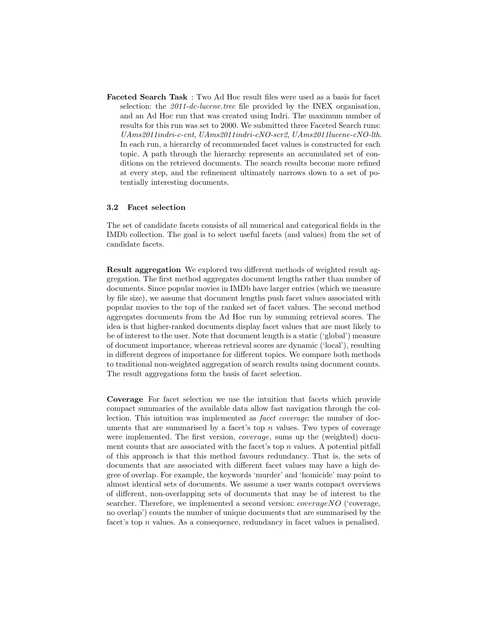Faceted Search Task : Two Ad Hoc result files were used as a basis for facet selection: the 2011-dc-lucene.trec file provided by the INEX organisation, and an Ad Hoc run that was created using Indri. The maximum number of results for this run was set to 2000. We submitted three Faceted Search runs: UAms2011indri-c-cnt, UAms2011indri-cNO-scr2, UAms2011lucene-cNO-lth. In each run, a hierarchy of recommended facet values is constructed for each topic. A path through the hierarchy represents an accumulated set of conditions on the retrieved documents. The search results become more refined at every step, and the refinement ultimately narrows down to a set of potentially interesting documents.

## 3.2 Facet selection

The set of candidate facets consists of all numerical and categorical fields in the IMDb collection. The goal is to select useful facets (and values) from the set of candidate facets.

Result aggregation We explored two different methods of weighted result aggregation. The first method aggregates document lengths rather than number of documents. Since popular movies in IMDb have larger entries (which we measure by file size), we assume that document lengths push facet values associated with popular movies to the top of the ranked set of facet values. The second method aggregates documents from the Ad Hoc run by summing retrieval scores. The idea is that higher-ranked documents display facet values that are most likely to be of interest to the user. Note that document length is a static ('global') measure of document importance, whereas retrieval scores are dynamic ('local'), resulting in different degrees of importance for different topics. We compare both methods to traditional non-weighted aggregation of search results using document counts. The result aggregations form the basis of facet selection.

Coverage For facet selection we use the intuition that facets which provide compact summaries of the available data allow fast navigation through the collection. This intuition was implemented as facet coverage: the number of documents that are summarised by a facet's top  $n$  values. Two types of coverage were implemented. The first version, coverage, sums up the (weighted) document counts that are associated with the facet's top  $n$  values. A potential pitfall of this approach is that this method favours redundancy. That is, the sets of documents that are associated with different facet values may have a high degree of overlap. For example, the keywords 'murder' and 'homicide' may point to almost identical sets of documents. We assume a user wants compact overviews of different, non-overlapping sets of documents that may be of interest to the searcher. Therefore, we implemented a second version:  $coverageNO$  ('coverage, no overlap') counts the number of unique documents that are summarised by the facet's top n values. As a consequence, redundancy in facet values is penalised.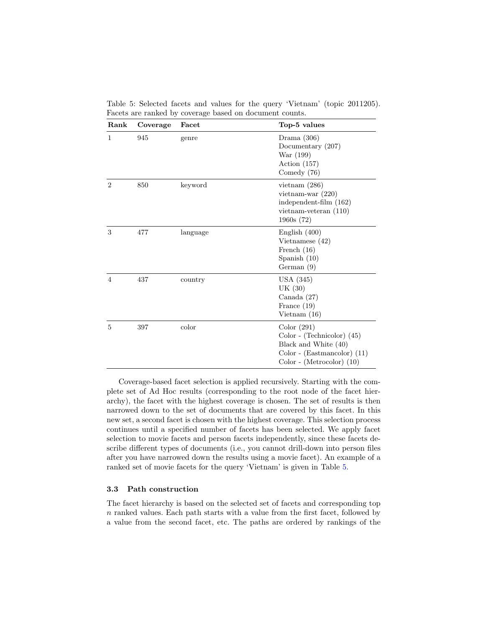| Rank           | Coverage | Facet<br>Top-5 values |                                                                                                                                |  |  |
|----------------|----------|-----------------------|--------------------------------------------------------------------------------------------------------------------------------|--|--|
| 1              | 945      | genre                 | Drama $(306)$<br>Documentary (207)<br>War (199)<br>Action $(157)$<br>Comedy $(76)$                                             |  |  |
| $\overline{2}$ | 850      | keyword               | vietnam $(286)$<br>vietnam-war $(220)$<br>independent-film (162)<br>vietnam-veteran $(110)$<br>1960s (72)                      |  |  |
| 3              | 477      | language              | English $(400)$<br>Vietnamese $(42)$<br>French $(16)$<br>Spanish $(10)$<br>German $(9)$                                        |  |  |
| $\overline{4}$ | 437      | country               | USA (345)<br>UK (30)<br>Canada $(27)$<br>France $(19)$<br>Vietnam $(16)$                                                       |  |  |
| $\overline{5}$ | 397      | color                 | Color(291)<br>Color - (Technicolor) (45)<br>Black and White (40)<br>$Color - (Eastmancolor)$ (11)<br>Color - (Metrocolor) (10) |  |  |

<span id="page-8-0"></span>Table 5: Selected facets and values for the query 'Vietnam' (topic 2011205). Facets are ranked by coverage based on document counts.

Coverage-based facet selection is applied recursively. Starting with the complete set of Ad Hoc results (corresponding to the root node of the facet hierarchy), the facet with the highest coverage is chosen. The set of results is then narrowed down to the set of documents that are covered by this facet. In this new set, a second facet is chosen with the highest coverage. This selection process continues until a specified number of facets has been selected. We apply facet selection to movie facets and person facets independently, since these facets describe different types of documents (i.e., you cannot drill-down into person files after you have narrowed down the results using a movie facet). An example of a ranked set of movie facets for the query 'Vietnam' is given in Table [5.](#page-8-0)

## 3.3 Path construction

The facet hierarchy is based on the selected set of facets and corresponding top  $n$  ranked values. Each path starts with a value from the first facet, followed by a value from the second facet, etc. The paths are ordered by rankings of the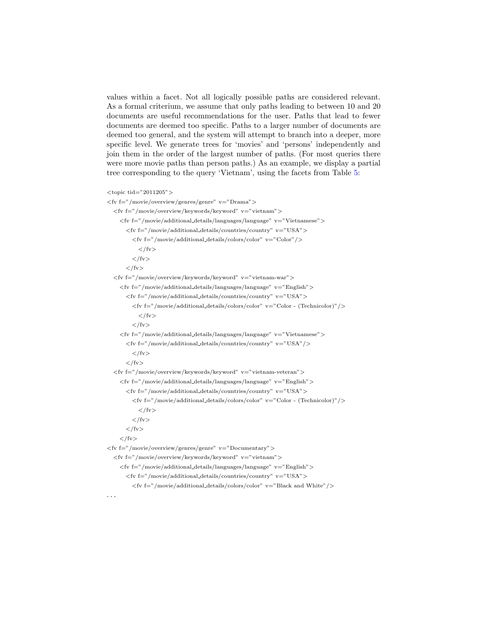values within a facet. Not all logically possible paths are considered relevant. As a formal criterium, we assume that only paths leading to between 10 and 20 documents are useful recommendations for the user. Paths that lead to fewer documents are deemed too specific. Paths to a larger number of documents are deemed too general, and the system will attempt to branch into a deeper, more specific level. We generate trees for 'movies' and 'persons' independently and join them in the order of the largest number of paths. (For most queries there were more movie paths than person paths.) As an example, we display a partial tree corresponding to the query 'Vietnam', using the facets from Table [5:](#page-8-0)

```
<topic tid="2011205">
<fv f="/movie/overview/genres/genre" v="Drama">
  \langlefv f="/movie/overview/keywords/keyword" v="vietnam">
    <fv f="/movie/additional details/languages/language" v="Vietnamese">
       \langle fv f="/movie/additional_details/countries/country" v="USA">
         \langle fv f="/movie/additional_details/colors/color" v="Color"/>
           \langle /fv >\langlefv>
       \langlefv>
  <fv f="/movie/overview/keywords/keyword" v="vietnam-war">
    \langle fv f="/movie/additional_details/languages/language" v="English">
       < fv f="/movie/additional_details/countries/country" v="USA">
         \langle fv f="/movie/additional_details/colors/color" v="Color - (Technicolor)"/>
           \langle /fv>\langle /fv >\langlefv f="/movie/additional_details/languages/language" v="Vietnamese">
       \langle fv f="/movie/additional_details/countries/country" v="USA"/>
         \langlefv>
       \langle /fv>
  \langlefv f="/movie/overview/keywords/keyword" v="vietnam-veteran">
    <fv f="/movie/additional details/languages/language" v="English">
       \langle fv f="/movie/additional_details/countries/country" v="USA">
         <fv f="/movie/additional details/colors/color" v="Color - (Technicolor)"/>
           \langle /fv >\langlefv>
       \langlefv>
    \langle /fv ><fv f="/movie/overview/genres/genre" v="Documentary">
  \langlefv f="/movie/overview/keywords/keyword" v="vietnam">
    \langlefv f="/movie/additional_details/languages/language" v="English">
       \langle fv f="/movie/additional_details/countries/country" v="USA">
         \langle fv f="/movie/additional_details/colors/color" v="Black and White"/>. . .
```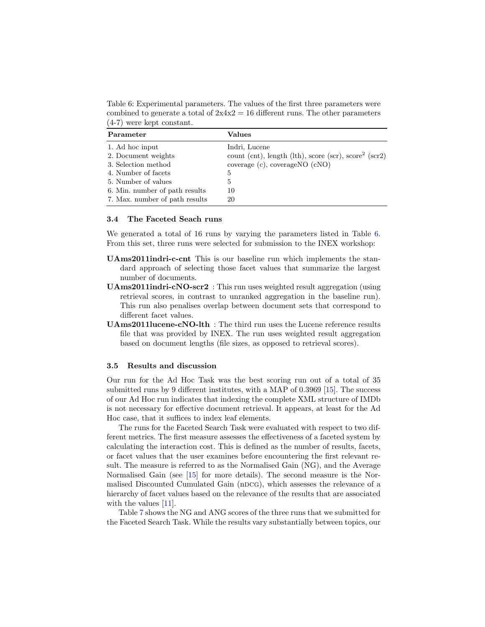<span id="page-10-0"></span>Table 6: Experimental parameters. The values of the first three parameters were combined to generate a total of  $2x4x2 = 16$  different runs. The other parameters (4-7) were kept constant.

| Parameter                      | <b>Values</b>                                                     |
|--------------------------------|-------------------------------------------------------------------|
| 1. Ad hoc input                | Indri, Lucene                                                     |
| 2. Document weights            | count (cnt), length (lth), score (scr), score <sup>2</sup> (scr2) |
| 3. Selection method            | coverage (c), coverage NO (cNO)                                   |
| 4. Number of facets            | 5                                                                 |
| 5. Number of values            | 5                                                                 |
| 6. Min. number of path results | 10                                                                |
| 7. Max. number of path results | 20                                                                |

#### 3.4 The Faceted Seach runs

We generated a total of 16 runs by varying the parameters listed in Table [6.](#page-10-0) From this set, three runs were selected for submission to the INEX workshop:

- UAms2011indri-c-cnt This is our baseline run which implements the standard approach of selecting those facet values that summarize the largest number of documents.
- UAms2011indri-cNO-scr2 : This run uses weighted result aggregation (using retrieval scores, in contrast to unranked aggregation in the baseline run). This run also penalises overlap between document sets that correspond to different facet values.
- UAms2011lucene-cNO-lth : The third run uses the Lucene reference results file that was provided by INEX. The run uses weighted result aggregation based on document lengths (file sizes, as opposed to retrieval scores).

#### 3.5 Results and discussion

Our run for the Ad Hoc Task was the best scoring run out of a total of 35 submitted runs by 9 different institutes, with a MAP of 0.3969 [\[15\]](#page-14-13). The success of our Ad Hoc run indicates that indexing the complete XML structure of IMDb is not necessary for effective document retrieval. It appears, at least for the Ad Hoc case, that it suffices to index leaf elements.

The runs for the Faceted Search Task were evaluated with respect to two different metrics. The first measure assesses the effectiveness of a faceted system by calculating the interaction cost. This is defined as the number of results, facets, or facet values that the user examines before encountering the first relevant result. The measure is referred to as the Normalised Gain (NG), and the Average Normalised Gain (see [\[15\]](#page-14-13) for more details). The second measure is the Normalised Discounted Cumulated Gain (nDCG), which assesses the relevance of a hierarchy of facet values based on the relevance of the results that are associated with the values [\[11\]](#page-14-14).

Table [7](#page-11-0) shows the NG and ANG scores of the three runs that we submitted for the Faceted Search Task. While the results vary substantially between topics, our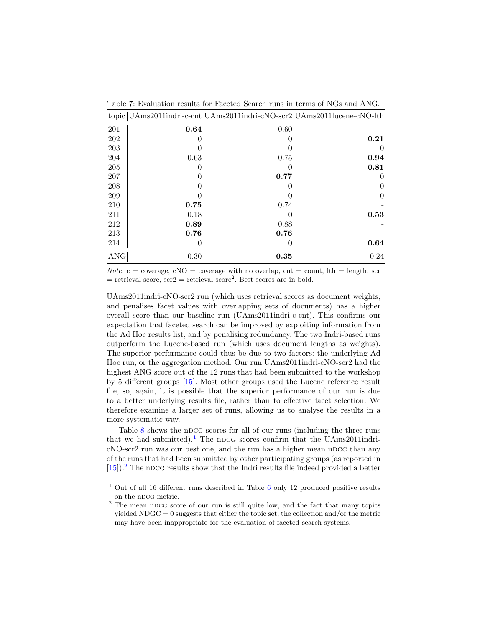|     |      |            | topic  UAms2011indri-c-cnt  UAms2011indri-cNO-scr2  UAms2011lucene-cNO-lth |
|-----|------|------------|----------------------------------------------------------------------------|
| 201 | 0.64 | 0.60       |                                                                            |
| 202 |      |            | 0.21                                                                       |
| 203 |      |            |                                                                            |
| 204 | 0.63 | 0.75       | 0.94                                                                       |
| 205 |      |            | 0.81                                                                       |
| 207 |      | 0.77       |                                                                            |
| 208 |      |            | $\Omega$                                                                   |
| 209 |      |            | $\theta$                                                                   |
| 210 | 0.75 | 0.74       |                                                                            |
| 211 | 0.18 |            | 0.53                                                                       |
| 212 | 0.89 | 0.88       |                                                                            |
| 213 | 0.76 | 0.76       |                                                                            |
| 214 |      |            | 0.64                                                                       |
| ANG | 0.30 | $\bf 0.35$ | 0.24                                                                       |

<span id="page-11-0"></span>Table 7: Evaluation results for Faceted Search runs in terms of NGs and ANG.

*Note.* c = coverage,  $cNO$  = coverage with no overlap,  $cnt$  = count,  $lth$  = length, scr  $=$  retrieval score, scr2  $=$  retrieval score<sup>2</sup>. Best scores are in bold.

UAms2011indri-cNO-scr2 run (which uses retrieval scores as document weights, and penalises facet values with overlapping sets of documents) has a higher overall score than our baseline run (UAms2011indri-c-cnt). This confirms our expectation that faceted search can be improved by exploiting information from the Ad Hoc results list, and by penalising redundancy. The two Indri-based runs outperform the Lucene-based run (which uses document lengths as weights). The superior performance could thus be due to two factors: the underlying Ad Hoc run, or the aggregation method. Our run UAms2011indri-cNO-scr2 had the highest ANG score out of the 12 runs that had been submitted to the workshop by 5 different groups [\[15\]](#page-14-13). Most other groups used the Lucene reference result file, so, again, it is possible that the superior performance of our run is due to a better underlying results file, rather than to effective facet selection. We therefore examine a larger set of runs, allowing us to analyse the results in a more systematic way.

Table [8](#page-12-0) shows the nDCG scores for all of our runs (including the three runs that we had submitted).<sup>[1](#page-11-1)</sup> The nDCG scores confirm that the UAms2011indricNO-scr2 run was our best one, and the run has a higher mean nDCG than any of the runs that had been submitted by other participating groups (as reported in  $[15]$ .<sup>[2](#page-11-2)</sup> The nDCG results show that the Indri results file indeed provided a better

<span id="page-11-1"></span> $1$  Out of all 1[6](#page-10-0) different runs described in Table 6 only 12 produced positive results on the nDCG metric.

<span id="page-11-2"></span> $2$  The mean nDCG score of our run is still quite low, and the fact that many topics yielded NDGC = 0 suggests that either the topic set, the collection and/or the metric may have been inappropriate for the evaluation of faceted search systems.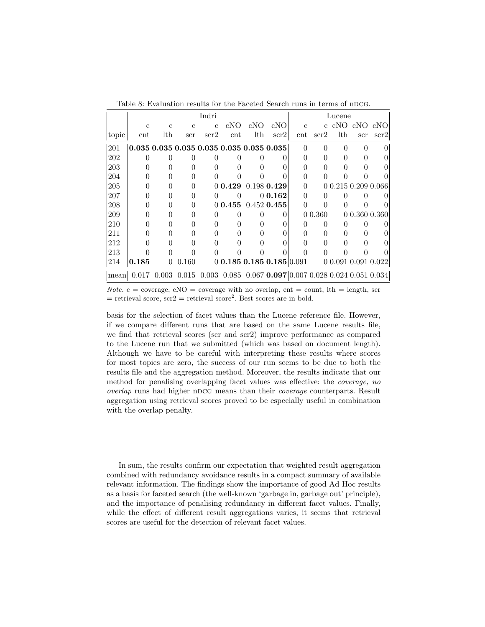|       |                                           |              |              | Indri           |              |     |                                                                                         |              |                 | Lucene   |                     |                 |
|-------|-------------------------------------------|--------------|--------------|-----------------|--------------|-----|-----------------------------------------------------------------------------------------|--------------|-----------------|----------|---------------------|-----------------|
|       | $\mathbf{c}$                              | $\mathbf{c}$ | $\mathbf{c}$ | C.              | cNO          | cNO | cNO                                                                                     | $\mathbf{c}$ |                 | c cNO    |                     | cNO cNO         |
| topic | $_{\rm cnt}$                              | lth          | scr          | $\mathrm{scr}2$ | $_{\rm cnt}$ | lth | $\mathrm{scr}2$                                                                         | $\rm{cnt}$   | $\mathrm{scr}2$ | lth      | scr                 | $\mathrm{scr}2$ |
| 201   | 0.035 0.035 0.035 0.035 0.035 0.035 0.035 |              |              |                 |              |     |                                                                                         | $\Omega$     | $\Omega$        | $\Omega$ | ∩                   |                 |
| 202   |                                           | $\Omega$     | $\mathbf{0}$ | $\mathbf{0}$    |              |     |                                                                                         | $\Omega$     | $\Omega$        | $\Omega$ | $\Omega$            |                 |
| 203   | 0                                         | $\Omega$     | $^{(1)}$     | $\Omega$        |              |     |                                                                                         | 0            |                 | $\Omega$ | $\Omega$            |                 |
| 204   | $\Omega$                                  | 0            | $\Omega$     |                 |              |     |                                                                                         | $\Omega$     |                 |          |                     |                 |
| 205   | 0                                         | $\theta$     | $\Omega$     |                 | 0.429        |     | $0.198$ 0.429                                                                           | $\Omega$     |                 |          | 0 0.215 0.209 0.066 |                 |
| 207   | 0                                         | 0            | $\theta$     |                 |              |     | 00.162                                                                                  | $\Omega$     |                 |          |                     |                 |
| 208   | $\Omega$                                  | $\theta$     | $\Omega$     |                 |              |     | $0.455$ $0.452$ $0.455$                                                                 | $\Omega$     | $\Omega$        |          |                     |                 |
| 209   | $\Omega$                                  | $\theta$     | $^{(1)}$     | $\cup$          |              |     |                                                                                         |              | 0 0.360         |          | 0 0.360 0.360       |                 |
| 210   |                                           | $\theta$     | $\Omega$     | $\Omega$        | $\theta$     |     |                                                                                         | $\mathbf{0}$ |                 |          |                     |                 |
| 211   |                                           | $\Omega$     | $\Omega$     | $\Omega$        | $\theta$     |     |                                                                                         | $\Omega$     | $\Omega$        | $\theta$ |                     |                 |
| 212   |                                           | $\Omega$     | $\mathbf{0}$ | $\Omega$        |              |     |                                                                                         | $\Omega$     |                 |          |                     |                 |
| 213   |                                           | $\Omega$     |              |                 |              |     |                                                                                         |              | ∩               |          |                     |                 |
| 214   | 0.185                                     | $\left($     | 0.160        |                 |              |     | 0.1850.1850.185 0.091                                                                   |              |                 |          | 0 0.091 0.091 0.022 |                 |
| mean  | 0.017                                     |              |              |                 |              |     | $0.003$ $0.015$ $0.003$ $0.085$ $0.067$ $0.097$ $0.007$ $0.028$ $0.024$ $0.051$ $0.034$ |              |                 |          |                     |                 |

<span id="page-12-0"></span>Table 8: Evaluation results for the Faceted Search runs in terms of nDCG.

Note. c = coverage, cNO = coverage with no overlap, cnt = count, lth = length, scr  $=$  retrieval score, scr2  $=$  retrieval score<sup>2</sup>. Best scores are in bold.

basis for the selection of facet values than the Lucene reference file. However, if we compare different runs that are based on the same Lucene results file, we find that retrieval scores (scr and scr2) improve performance as compared to the Lucene run that we submitted (which was based on document length). Although we have to be careful with interpreting these results where scores for most topics are zero, the success of our run seems to be due to both the results file and the aggregation method. Moreover, the results indicate that our method for penalising overlapping facet values was effective: the coverage, no overlap runs had higher nDCG means than their coverage counterparts. Result aggregation using retrieval scores proved to be especially useful in combination with the overlap penalty.

In sum, the results confirm our expectation that weighted result aggregation combined with redundancy avoidance results in a compact summary of available relevant information. The findings show the importance of good Ad Hoc results as a basis for faceted search (the well-known 'garbage in, garbage out' principle), and the importance of penalising redundancy in different facet values. Finally, while the effect of different result aggregations varies, it seems that retrieval scores are useful for the detection of relevant facet values.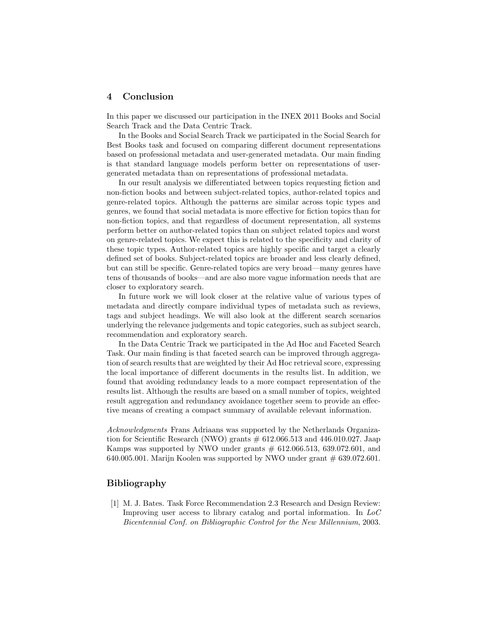# <span id="page-13-0"></span>4 Conclusion

In this paper we discussed our participation in the INEX 2011 Books and Social Search Track and the Data Centric Track.

In the Books and Social Search Track we participated in the Social Search for Best Books task and focused on comparing different document representations based on professional metadata and user-generated metadata. Our main finding is that standard language models perform better on representations of usergenerated metadata than on representations of professional metadata.

In our result analysis we differentiated between topics requesting fiction and non-fiction books and between subject-related topics, author-related topics and genre-related topics. Although the patterns are similar across topic types and genres, we found that social metadata is more effective for fiction topics than for non-fiction topics, and that regardless of document representation, all systems perform better on author-related topics than on subject related topics and worst on genre-related topics. We expect this is related to the specificity and clarity of these topic types. Author-related topics are highly specific and target a clearly defined set of books. Subject-related topics are broader and less clearly defined, but can still be specific. Genre-related topics are very broad—many genres have tens of thousands of books—and are also more vague information needs that are closer to exploratory search.

In future work we will look closer at the relative value of various types of metadata and directly compare individual types of metadata such as reviews, tags and subject headings. We will also look at the different search scenarios underlying the relevance judgements and topic categories, such as subject search, recommendation and exploratory search.

In the Data Centric Track we participated in the Ad Hoc and Faceted Search Task. Our main finding is that faceted search can be improved through aggregation of search results that are weighted by their Ad Hoc retrieval score, expressing the local importance of different documents in the results list. In addition, we found that avoiding redundancy leads to a more compact representation of the results list. Although the results are based on a small number of topics, weighted result aggregation and redundancy avoidance together seem to provide an effective means of creating a compact summary of available relevant information.

Acknowledgments Frans Adriaans was supported by the Netherlands Organization for Scientific Research (NWO) grants  $# 612.066.513$  and 446.010.027. Jaap Kamps was supported by NWO under grants  $#$  612.066.513, 639.072.601, and 640.005.001. Marijn Koolen was supported by NWO under grant  $\#$  639.072.601.

# Bibliography

<span id="page-13-1"></span>[1] M. J. Bates. Task Force Recommendation 2.3 Research and Design Review: Improving user access to library catalog and portal information. In  $LoC$ Bicentennial Conf. on Bibliographic Control for the New Millennium, 2003.